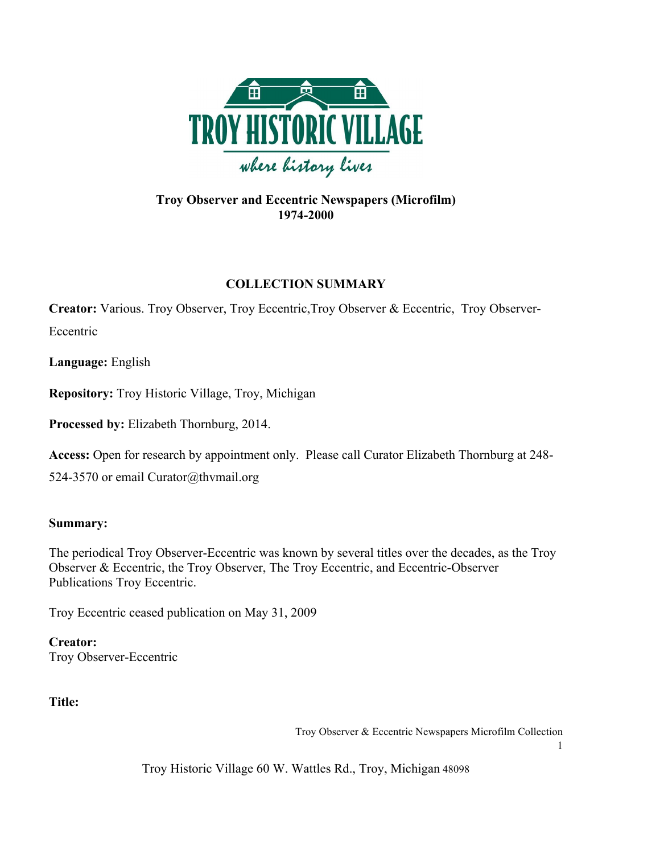

# **Troy Observer and Eccentric Newspapers (Microfilm) 1974-2000**

# **COLLECTION SUMMARY**

**Creator:** Various. Troy Observer, Troy Eccentric,Troy Observer & Eccentric, Troy Observer-Eccentric

**Language:** English

**Repository:** Troy Historic Village, Troy, Michigan

**Processed by:** Elizabeth Thornburg, 2014.

**Access:** Open for research by appointment only. Please call Curator Elizabeth Thornburg at 248-

524-3570 or email Curator@thvmail.org

# **Summary:**

The periodical Troy Observer-Eccentric was known by several titles over the decades, as the Troy Observer & Eccentric, the Troy Observer, The Troy Eccentric, and Eccentric-Observer Publications Troy Eccentric.

Troy Eccentric ceased publication on May 31, 2009

**Creator:**  Troy Observer-Eccentric

**Title:** 

Troy Observer & Eccentric Newspapers Microfilm Collection

1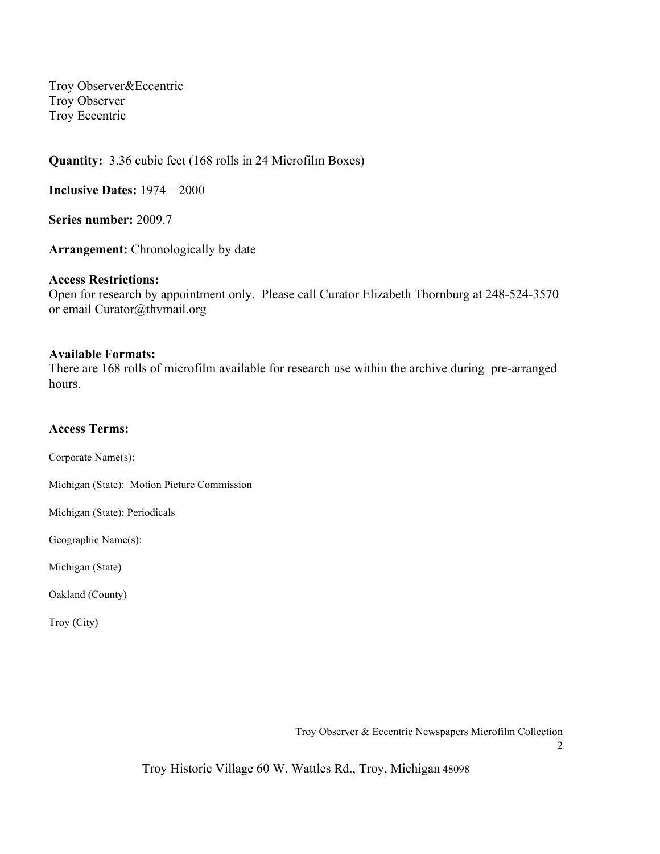Troy Observer&Eccentric Troy Observer Troy Eccentric

**Quantity:** 3.36 cubic feet (168 rolls in 24 Microfilm Boxes)

**Inclusive Dates:** 1974 – 2000

**Series number:** 2009.7

**Arrangement:** Chronologically by date

#### **Access Restrictions:**

Open for research by appointment only. Please call Curator Elizabeth Thornburg at 248-524-3570 or email Curator@thvmail.org

#### **Available Formats:**

There are 168 rolls of microfilm available for research use within the archive during pre-arranged hours.

#### **Access Terms:**

Corporate Name(s):

Michigan (State): Motion Picture Commission

Michigan (State): Periodicals

Geographic Name(s):

Michigan (State)

Oakland (County)

Troy (City)

Troy Observer & Eccentric Newspapers Microfilm Collection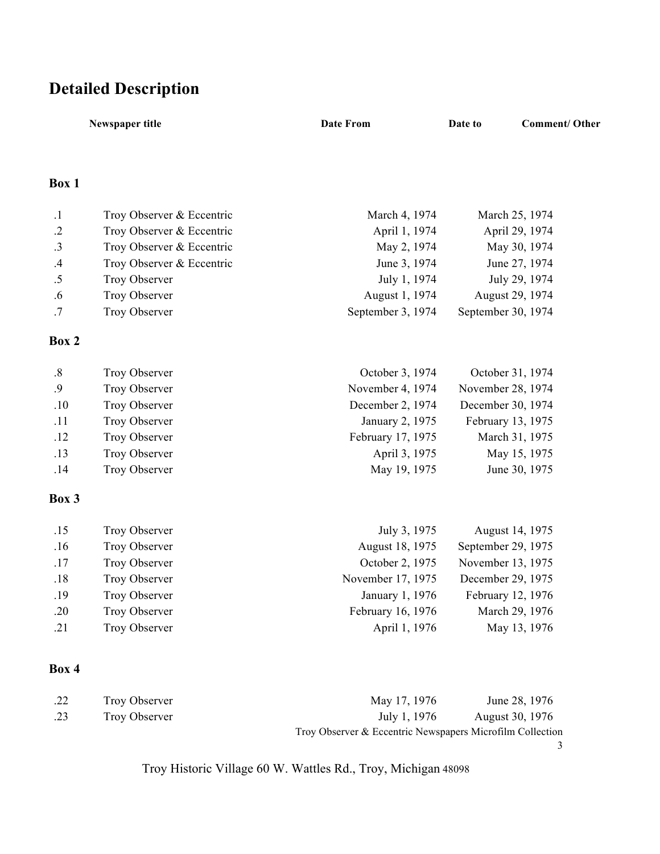# **Detailed Description**

|              | Newspaper title           | <b>Date From</b>  | Date to            | <b>Comment/Other</b> |
|--------------|---------------------------|-------------------|--------------------|----------------------|
| <b>Box 1</b> |                           |                   |                    |                      |
| $\cdot$ 1    | Troy Observer & Eccentric | March 4, 1974     | March 25, 1974     |                      |
| $\cdot$ .2   | Troy Observer & Eccentric | April 1, 1974     | April 29, 1974     |                      |
| .3           | Troy Observer & Eccentric | May 2, 1974       | May 30, 1974       |                      |
| $.4\,$       | Troy Observer & Eccentric | June 3, 1974      | June 27, 1974      |                      |
| .5           | Troy Observer             | July 1, 1974      | July 29, 1974      |                      |
| .6           | Troy Observer             | August 1, 1974    | August 29, 1974    |                      |
| .7           | Troy Observer             | September 3, 1974 | September 30, 1974 |                      |
| Box 2        |                           |                   |                    |                      |
| $.8\,$       | Troy Observer             | October 3, 1974   | October 31, 1974   |                      |
| .9           | Troy Observer             | November 4, 1974  | November 28, 1974  |                      |
| .10          | Troy Observer             | December 2, 1974  | December 30, 1974  |                      |
| .11          | Troy Observer             | January 2, 1975   | February 13, 1975  |                      |
| .12          | Troy Observer             | February 17, 1975 | March 31, 1975     |                      |
| .13          | Troy Observer             | April 3, 1975     | May 15, 1975       |                      |
| .14          | Troy Observer             | May 19, 1975      | June 30, 1975      |                      |
| <b>Box 3</b> |                           |                   |                    |                      |
| .15          | Troy Observer             | July 3, 1975      | August 14, 1975    |                      |
| .16          | Troy Observer             | August 18, 1975   | September 29, 1975 |                      |
| .17          | Troy Observer             | October 2, 1975   | November 13, 1975  |                      |
| .18          | Troy Observer             | November 17, 1975 | December 29, 1975  |                      |
| .19          | Troy Observer             | January 1, 1976   | February 12, 1976  |                      |
| .20          | Troy Observer             | February 16, 1976 | March 29, 1976     |                      |
| .21          | Troy Observer             | April 1, 1976     | May 13, 1976       |                      |
|              |                           |                   |                    |                      |

# **Box 4**

| .22 | Troy Observer | May 17, 1976                                              | June 28, 1976   |
|-----|---------------|-----------------------------------------------------------|-----------------|
| .23 | Troy Observer | July 1, 1976                                              | August 30, 1976 |
|     |               | Troy Observer & Eccentric Newspapers Microfilm Collection |                 |
|     |               |                                                           |                 |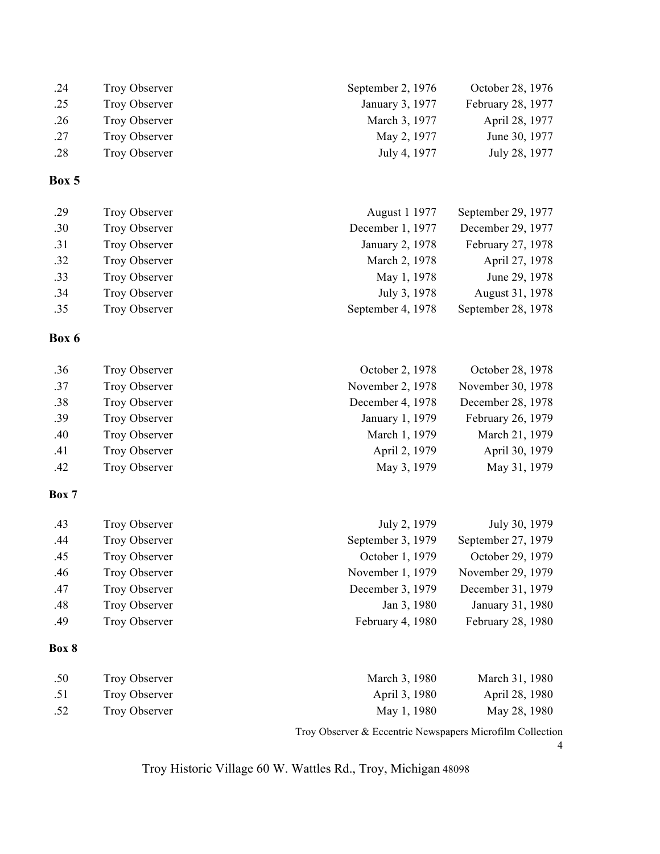| .24 | Troy Observer | September 2, 1976 | October 28, 1976  |
|-----|---------------|-------------------|-------------------|
| .25 | Troy Observer | January 3, 1977   | February 28, 1977 |
| .26 | Troy Observer | March 3, 1977     | April 28, 1977    |
| .27 | Troy Observer | May 2, 1977       | June 30, 1977     |
| .28 | Troy Observer | July 4, 1977      | July 28, 1977     |

| .29 | Troy Observer        | August 1 1977     | September 29, 1977 |
|-----|----------------------|-------------------|--------------------|
| .30 | Troy Observer        | December 1, 1977  | December 29, 1977  |
| .31 | Troy Observer        | January 2, 1978   | February 27, 1978  |
| .32 | Troy Observer        | March 2, 1978     | April 27, 1978     |
| .33 | Troy Observer        | May 1, 1978       | June 29, 1978      |
| .34 | <b>Troy Observer</b> | July 3, 1978      | August 31, 1978    |
| .35 | Troy Observer        | September 4, 1978 | September 28, 1978 |

### **Box 6**

| .36 | Troy Observer | October 2, 1978  | October 28, 1978  |
|-----|---------------|------------------|-------------------|
| .37 | Troy Observer | November 2, 1978 | November 30, 1978 |
| .38 | Troy Observer | December 4, 1978 | December 28, 1978 |
| .39 | Troy Observer | January 1, 1979  | February 26, 1979 |
| .40 | Troy Observer | March 1, 1979    | March 21, 1979    |
| .41 | Troy Observer | April 2, 1979    | April 30, 1979    |
| .42 | Troy Observer | May 3, 1979      | May 31, 1979      |

#### **Box 7**

| .43 | Troy Observer | July 2, 1979      | July 30, 1979      |
|-----|---------------|-------------------|--------------------|
| .44 | Troy Observer | September 3, 1979 | September 27, 1979 |
| .45 | Troy Observer | October 1, 1979   | October 29, 1979   |
| .46 | Troy Observer | November 1, 1979  | November 29, 1979  |
| .47 | Troy Observer | December 3, 1979  | December 31, 1979  |
| .48 | Troy Observer | Jan 3, 1980       | January 31, 1980   |
| .49 | Troy Observer | February 4, 1980  | February 28, 1980  |
|     |               |                   |                    |

### **Box 8**

| .50 | Troy Observer | March 3, 1980 | March 31, 1980 |
|-----|---------------|---------------|----------------|
| .51 | Troy Observer | April 3, 1980 | April 28, 1980 |
| .52 | Troy Observer | May 1, 1980   | May 28, 1980   |

Troy Observer & Eccentric Newspapers Microfilm Collection

4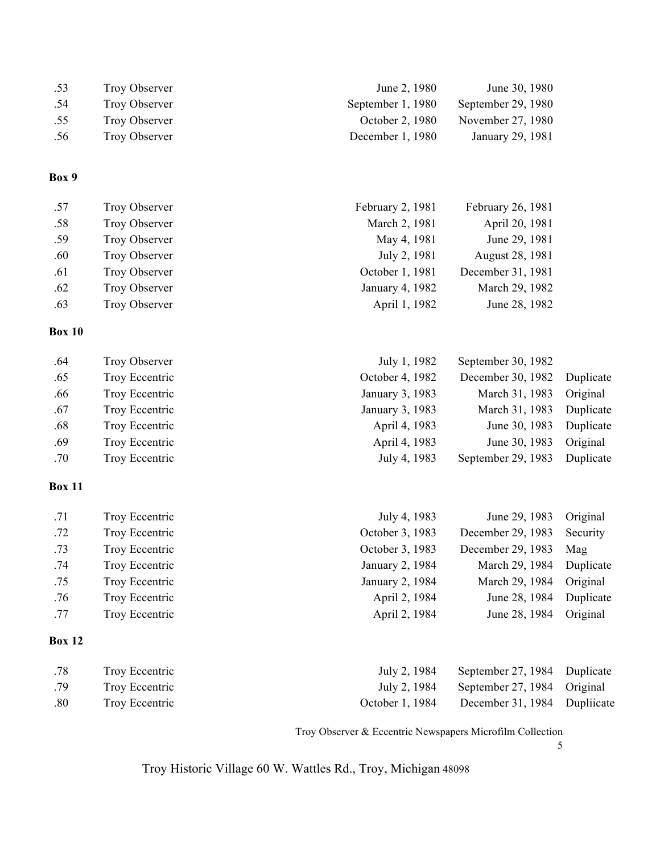| .53 | Troy Observer | June 2, 1980      | June 30, 1980      |
|-----|---------------|-------------------|--------------------|
| .54 | Troy Observer | September 1, 1980 | September 29, 1980 |
| .55 | Troy Observer | October 2, 1980   | November 27, 1980  |
| .56 | Troy Observer | December 1, 1980  | January 29, 1981   |
|     |               |                   |                    |

| .57 | Troy Observer        | February 2, 1981 | February 26, 1981 |
|-----|----------------------|------------------|-------------------|
| .58 | <b>Troy Observer</b> | March 2, 1981    | April 20, 1981    |
| .59 | <b>Troy Observer</b> | May 4, 1981      | June 29, 1981     |
| .60 | <b>Troy Observer</b> | July 2, 1981     | August 28, 1981   |
| .61 | <b>Troy Observer</b> | October 1, 1981  | December 31, 1981 |
| .62 | <b>Troy Observer</b> | January 4, 1982  | March 29, 1982    |
| .63 | <b>Troy Observer</b> | April 1, 1982    | June 28, 1982     |

#### **Box 10**

| .64 | Troy Observer  | July 1, 1982    | September 30, 1982          |           |
|-----|----------------|-----------------|-----------------------------|-----------|
| .65 | Troy Eccentric | October 4, 1982 | December 30, 1982 Duplicate |           |
| .66 | Troy Eccentric | January 3, 1983 | March 31, 1983              | Original  |
| .67 | Troy Eccentric | January 3, 1983 | March 31, 1983              | Duplicate |
| .68 | Troy Eccentric | April 4, 1983   | June 30, 1983               | Duplicate |
| .69 | Troy Eccentric | April 4, 1983   | June 30, 1983               | Original  |
| .70 | Troy Eccentric | July 4, 1983    | September 29, 1983          | Duplicate |

# **Box 11**

| .71 | Troy Eccentric | July 4, 1983    | June 29, 1983     | Original  |
|-----|----------------|-----------------|-------------------|-----------|
| .72 | Troy Eccentric | October 3, 1983 | December 29, 1983 | Security  |
|     |                |                 |                   |           |
| .73 | Troy Eccentric | October 3, 1983 | December 29, 1983 | Mag       |
| .74 | Troy Eccentric | January 2, 1984 | March 29, 1984    | Duplicate |
| .75 | Troy Eccentric | January 2, 1984 | March 29, 1984    | Original  |
| .76 | Troy Eccentric | April 2, 1984   | June 28, 1984     | Duplicate |
| .77 | Troy Eccentric | April 2, 1984   | June 28, 1984     | Original  |
|     |                |                 |                   |           |

# **Box 12**

| .78 | Troy Eccentric | July 2, 1984 September 27, 1984 Duplicate    |  |
|-----|----------------|----------------------------------------------|--|
| .79 | Troy Eccentric | July 2, 1984 September 27, 1984 Original     |  |
| .80 | Troy Eccentric | October 1, 1984 December 31, 1984 Dupliicate |  |

Troy Observer & Eccentric Newspapers Microfilm Collection

5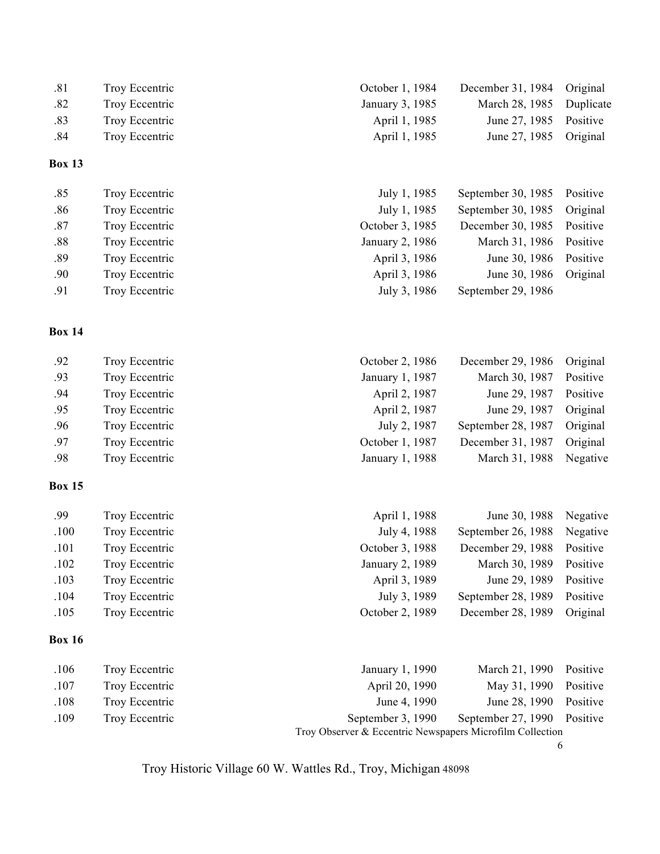| .81           | Troy Eccentric | October 1, 1984 | December 31, 1984  | Original  |
|---------------|----------------|-----------------|--------------------|-----------|
| .82           | Troy Eccentric | January 3, 1985 | March 28, 1985     | Duplicate |
| .83           | Troy Eccentric | April 1, 1985   | June 27, 1985      | Positive  |
| .84           | Troy Eccentric | April 1, 1985   | June 27, 1985      | Original  |
| <b>Box 13</b> |                |                 |                    |           |
| .85           | Troy Eccentric | July 1, 1985    | September 30, 1985 | Positive  |
| .86           | Troy Eccentric | July 1, 1985    | September 30, 1985 | Original  |
| .87           | Troy Eccentric | October 3, 1985 | December 30, 1985  | Positive  |
| $.88\,$       | Troy Eccentric | January 2, 1986 | March 31, 1986     | Positive  |
| .89           | Troy Eccentric | April 3, 1986   | June 30, 1986      | Positive  |
| .90           | Troy Eccentric | April 3, 1986   | June 30, 1986      | Original  |
| .91           | Troy Eccentric | July 3, 1986    | September 29, 1986 |           |
| <b>Box 14</b> |                |                 |                    |           |
| .92           | Troy Eccentric | October 2, 1986 | December 29, 1986  | Original  |
| .93           | Troy Eccentric | January 1, 1987 | March 30, 1987     | Positive  |
| .94           | Troy Eccentric | April 2, 1987   | June 29, 1987      | Positive  |
| .95           | Troy Eccentric | April 2, 1987   | June 29, 1987      | Original  |
| .96           | Troy Eccentric | July 2, 1987    | September 28, 1987 | Original  |
| .97           | Troy Eccentric | October 1, 1987 | December 31, 1987  | Original  |
| .98           | Troy Eccentric | January 1, 1988 | March 31, 1988     | Negative  |
|               |                |                 |                    |           |

| .99  | Troy Eccentric | April 1, 1988<br>June 30, 1988       | Negative |
|------|----------------|--------------------------------------|----------|
| .100 | Troy Eccentric | July 4, 1988<br>September 26, 1988   | Negative |
| .101 | Troy Eccentric | October 3, 1988<br>December 29, 1988 | Positive |
| .102 | Troy Eccentric | January 2, 1989<br>March 30, 1989    | Positive |
| .103 | Troy Eccentric | April 3, 1989<br>June 29, 1989       | Positive |
| .104 | Troy Eccentric | July 3, 1989<br>September 28, 1989   | Positive |
| .105 | Troy Eccentric | October 2, 1989<br>December 28, 1989 | Original |
|      |                |                                      |          |

# **Box 16**

| .106 | Troy Eccentric | January 1, 1990                                           | March 21, 1990 Positive     |  |
|------|----------------|-----------------------------------------------------------|-----------------------------|--|
| .107 | Troy Eccentric | April 20, 1990                                            | May 31, 1990 Positive       |  |
| .108 | Troy Eccentric | June 4, 1990                                              | June 28, 1990 Positive      |  |
| .109 | Troy Eccentric | September 3, 1990                                         | September 27, 1990 Positive |  |
|      |                | Troy Observer & Eccentric Newspapers Microfilm Collection |                             |  |

6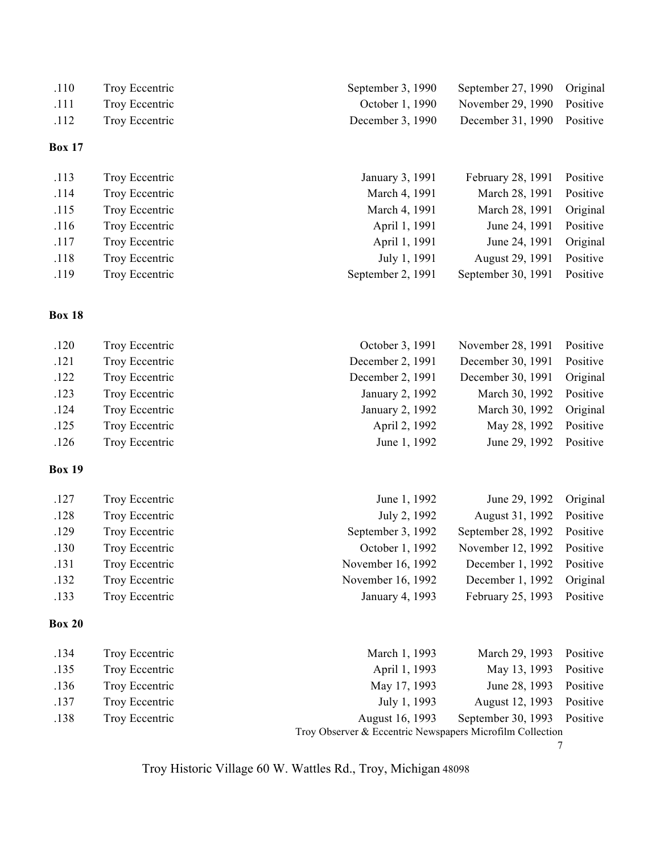| .110          | Troy Eccentric | September 27, 1990 Original<br>September 3, 1990 |  |
|---------------|----------------|--------------------------------------------------|--|
| .111          | Troy Eccentric | November 29, 1990 Positive<br>October 1, 1990    |  |
| .112          | Troy Eccentric | December 31, 1990 Positive<br>December $3, 1990$ |  |
| <b>Box 17</b> |                |                                                  |  |

| .113 | Troy Eccentric | January 3, 1991   | February 28, 1991 Positive  |          |
|------|----------------|-------------------|-----------------------------|----------|
| .114 | Troy Eccentric | March 4, 1991     | March 28, 1991              | Positive |
| .115 | Troy Eccentric | March 4, 1991     | March 28, 1991              | Original |
| .116 | Troy Eccentric | April 1, 1991     | June 24, 1991               | Positive |
| .117 | Troy Eccentric | April 1, 1991     | June 24, 1991               | Original |
| .118 | Troy Eccentric | July 1, 1991      | August 29, 1991             | Positive |
| .119 | Troy Eccentric | September 2, 1991 | September 30, 1991 Positive |          |

| .120 | Troy Eccentric | November 28, 1991 Positive<br>October 3, 1991 |          |
|------|----------------|-----------------------------------------------|----------|
| .121 | Troy Eccentric | December 2, 1991<br>December 30, 1991         | Positive |
| .122 | Troy Eccentric | December 2, 1991<br>December 30, 1991         | Original |
| .123 | Troy Eccentric | March 30, 1992<br>January 2, 1992             | Positive |
| .124 | Troy Eccentric | January 2, 1992<br>March 30, 1992             | Original |
| .125 | Troy Eccentric | May 28, 1992<br>April 2, 1992                 | Positive |
| .126 | Troy Eccentric | June 1, 1992<br>June 29, 1992 Positive        |          |

# **Box 19**

| .127 | Troy Eccentric | June 1, 1992      | June 29, 1992 Original      |          |
|------|----------------|-------------------|-----------------------------|----------|
| .128 | Troy Eccentric | July 2, 1992      | August 31, 1992             | Positive |
| .129 | Troy Eccentric | September 3, 1992 | September 28, 1992 Positive |          |
| .130 | Troy Eccentric | October 1, 1992   | November 12, 1992 Positive  |          |
| .131 | Troy Eccentric | November 16, 1992 | December 1, 1992 Positive   |          |
| .132 | Troy Eccentric | November 16, 1992 | December 1, 1992            | Original |
| .133 | Troy Eccentric | January 4, 1993   | February 25, 1993 Positive  |          |

# **Box 20**

| .134 | Troy Eccentric | March 1, 1993                                             | March 29, 1993 Positive     |  |
|------|----------------|-----------------------------------------------------------|-----------------------------|--|
| .135 | Troy Eccentric | April 1, 1993                                             | May 13, 1993 Positive       |  |
| .136 | Troy Eccentric | May 17, 1993                                              | June 28, 1993 Positive      |  |
| .137 | Troy Eccentric | July 1, 1993                                              | August 12, 1993 Positive    |  |
| .138 | Troy Eccentric | August 16, 1993                                           | September 30, 1993 Positive |  |
|      |                | Troy Observer & Eccentric Newspapers Microfilm Collection |                             |  |

7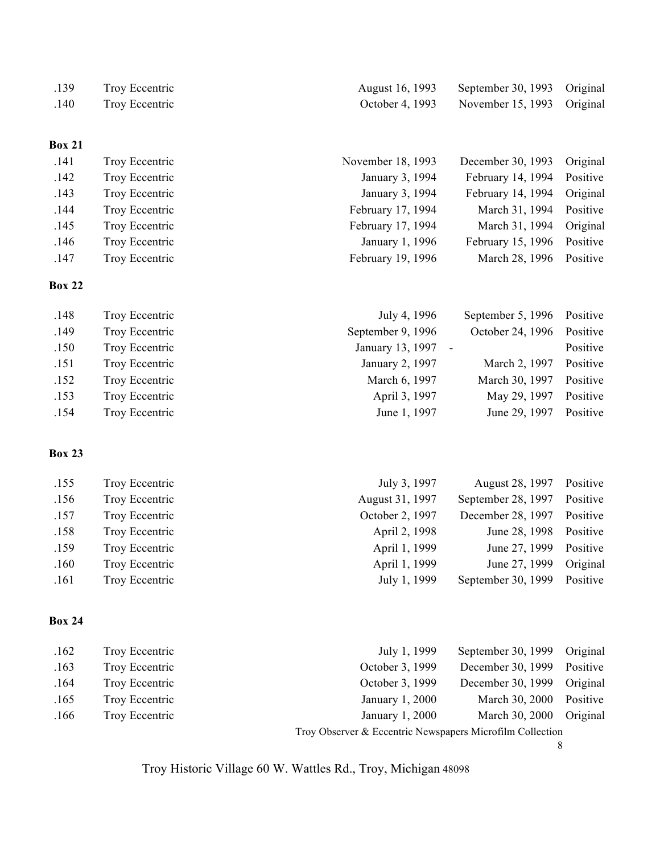| .139 | Troy Eccentric |
|------|----------------|
| .140 | Troy Eccentric |

| .141 | Troy Eccentric | November 18, 1993 | December 30, 1993          | Original |
|------|----------------|-------------------|----------------------------|----------|
| .142 | Troy Eccentric | January 3, 1994   | February 14, 1994          | Positive |
| .143 | Troy Eccentric | January 3, 1994   | February 14, 1994          | Original |
| .144 | Troy Eccentric | February 17, 1994 | March 31, 1994 Positive    |          |
| .145 | Troy Eccentric | February 17, 1994 | March 31, 1994             | Original |
| .146 | Troy Eccentric | January 1, 1996   | February 15, 1996 Positive |          |
| .147 | Troy Eccentric | February 19, 1996 | March 28, 1996 Positive    |          |
|      |                |                   |                            |          |

# **Box 22**

| Positive | September 5, $1996$ | July 4, 1996      | Troy Eccentric | .148 |
|----------|---------------------|-------------------|----------------|------|
| Positive | October 24, 1996    | September 9, 1996 | Troy Eccentric | .149 |
| Positive | $\sim$              | January 13, 1997  | Troy Eccentric | .150 |
| Positive | March 2, 1997       | January 2, 1997   | Troy Eccentric | .151 |
| Positive | March 30, 1997      | March 6, 1997     | Troy Eccentric | .152 |
| Positive | May 29, 1997        | April 3, 1997     | Troy Eccentric | .153 |
| Positive | June 29, 1997       | June 1, 1997      | Troy Eccentric | .154 |

# **Box 23**

| Positive | August 28, 1997    | July 3, 1997    | Troy Eccentric | .155 |
|----------|--------------------|-----------------|----------------|------|
| Positive | September 28, 1997 | August 31, 1997 | Troy Eccentric | .156 |
| Positive | December 28, 1997  | October 2, 1997 | Troy Eccentric | .157 |
| Positive | June 28, 1998      | April 2, 1998   | Troy Eccentric | .158 |
| Positive | June 27, 1999      | April 1, 1999   | Troy Eccentric | .159 |
| Original | June 27, 1999      | April 1, 1999   | Troy Eccentric | .160 |
| Positive | September 30, 1999 | July 1, 1999    | Troy Eccentric | .161 |
|          |                    |                 |                |      |

# **Box 24**

| .162 | Troy Eccentric | July 1, 1999                                              | September 30, 1999 | Original |  |
|------|----------------|-----------------------------------------------------------|--------------------|----------|--|
| .163 | Troy Eccentric | October 3, 1999                                           | December 30, 1999  | Positive |  |
| .164 | Troy Eccentric | October 3, 1999                                           | December 30, 1999  | Original |  |
| .165 | Troy Eccentric | January 1, 2000                                           | March 30, 2000     | Positive |  |
| .166 | Troy Eccentric | January 1, 2000                                           | March 30, 2000     | Original |  |
|      |                | Troy Observer & Eccentric Newspapers Microfilm Collection |                    |          |  |

8

August 16, 1993 September 30, 1993 Original October 4, 1993 November 15, 1993 Original